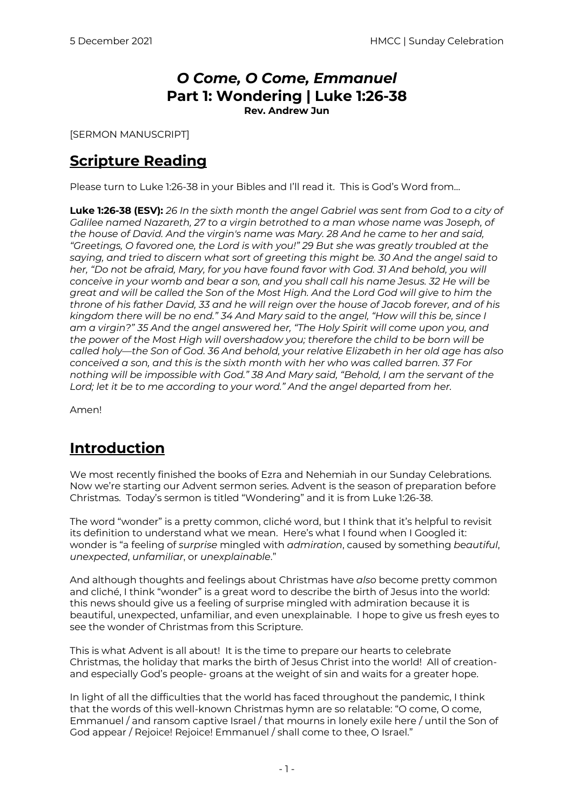# *O Come, O Come, Emmanuel* **Part 1: Wondering | Luke 1:26-38**

**Rev. Andrew Jun**

[SERMON MANUSCRIPT]

### **Scripture Reading**

Please turn to Luke 1:26-38 in your Bibles and I'll read it. This is God's Word from…

**Luke 1:26-38 (ESV):** *26 In the sixth month the angel Gabriel was sent from God to a city of Galilee named Nazareth, 27 to a virgin betrothed to a man whose name was Joseph, of the house of David. And the virgin's name was Mary. 28 And he came to her and said, "Greetings, O favored one, the Lord is with you!" 29 But she was greatly troubled at the saying, and tried to discern what sort of greeting this might be. 30 And the angel said to*  her, "Do not be afraid, Mary, for you have found favor with God. 31 And behold, you will *conceive in your womb and bear a son, and you shall call his name Jesus. 32 He will be great and will be called the Son of the Most High. And the Lord God will give to him the throne of his father David, 33 and he will reign over the house of Jacob forever, and of his kingdom there will be no end." 34 And Mary said to the angel, "How will this be, since I am a virgin?" 35 And the angel answered her, "The Holy Spirit will come upon you, and the power of the Most High will overshadow you; therefore the child to be born will be called holy—the Son of God. 36 And behold, your relative Elizabeth in her old age has also conceived a son, and this is the sixth month with her who was called barren. 37 For nothing will be impossible with God." 38 And Mary said, "Behold, I am the servant of the Lord; let it be to me according to your word." And the angel departed from her.*

Amen!

## **Introduction**

We most recently finished the books of Ezra and Nehemiah in our Sunday Celebrations. Now we're starting our Advent sermon series. Advent is the season of preparation before Christmas. Today's sermon is titled "Wondering" and it is from Luke 1:26-38.

The word "wonder" is a pretty common, cliché word, but I think that it's helpful to revisit its definition to understand what we mean. Here's what I found when I Googled it: wonder is "a feeling of *surprise* mingled with *admiration*, caused by something *beautiful*, *unexpected*, *unfamiliar*, or *unexplainable*."

And although thoughts and feelings about Christmas have *also* become pretty common and cliché, I think "wonder" is a great word to describe the birth of Jesus into the world: this news should give us a feeling of surprise mingled with admiration because it is beautiful, unexpected, unfamiliar, and even unexplainable. I hope to give us fresh eyes to see the wonder of Christmas from this Scripture.

This is what Advent is all about! It is the time to prepare our hearts to celebrate Christmas, the holiday that marks the birth of Jesus Christ into the world! All of creationand especially God's people- groans at the weight of sin and waits for a greater hope.

In light of all the difficulties that the world has faced throughout the pandemic, I think that the words of this well-known Christmas hymn are so relatable: "O come, O come, Emmanuel / and ransom captive Israel / that mourns in lonely exile here / until the Son of God appear / Rejoice! Rejoice! Emmanuel / shall come to thee, O Israel."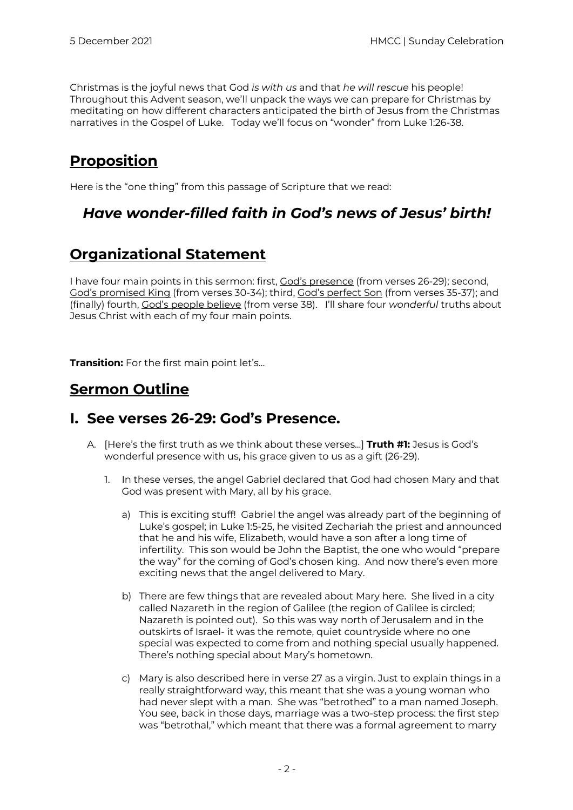Christmas is the joyful news that God *is with us* and that *he will rescue* his people! Throughout this Advent season, we'll unpack the ways we can prepare for Christmas by meditating on how different characters anticipated the birth of Jesus from the Christmas narratives in the Gospel of Luke. Today we'll focus on "wonder" from Luke 1:26-38.

## **Proposition**

Here is the "one thing" from this passage of Scripture that we read:

### *Have wonder-filled faith in God's news of Jesus' birth!*

### **Organizational Statement**

I have four main points in this sermon: first, God's presence (from verses 26-29); second, God's promised King (from verses 30-34); third, God's perfect Son (from verses 35-37); and (finally) fourth, God's people believe (from verse 38). I'll share four *wonderful* truths about Jesus Christ with each of my four main points.

**Transition:** For the first main point let's…

### **Sermon Outline**

#### **I. See verses 26-29: God's Presence.**

- A. [Here's the first truth as we think about these verses...] **Truth #1:** Jesus is God's wonderful presence with us, his grace given to us as a gift (26-29).
	- 1. In these verses, the angel Gabriel declared that God had chosen Mary and that God was present with Mary, all by his grace.
		- a) This is exciting stuff! Gabriel the angel was already part of the beginning of Luke's gospel; in Luke 1:5-25, he visited Zechariah the priest and announced that he and his wife, Elizabeth, would have a son after a long time of infertility. This son would be John the Baptist, the one who would "prepare the way" for the coming of God's chosen king. And now there's even more exciting news that the angel delivered to Mary.
		- b) There are few things that are revealed about Mary here. She lived in a city called Nazareth in the region of Galilee (the region of Galilee is circled; Nazareth is pointed out). So this was way north of Jerusalem and in the outskirts of Israel- it was the remote, quiet countryside where no one special was expected to come from and nothing special usually happened. There's nothing special about Mary's hometown.
		- c) Mary is also described here in verse 27 as a virgin. Just to explain things in a really straightforward way, this meant that she was a young woman who had never slept with a man. She was "betrothed" to a man named Joseph. You see, back in those days, marriage was a two-step process: the first step was "betrothal," which meant that there was a formal agreement to marry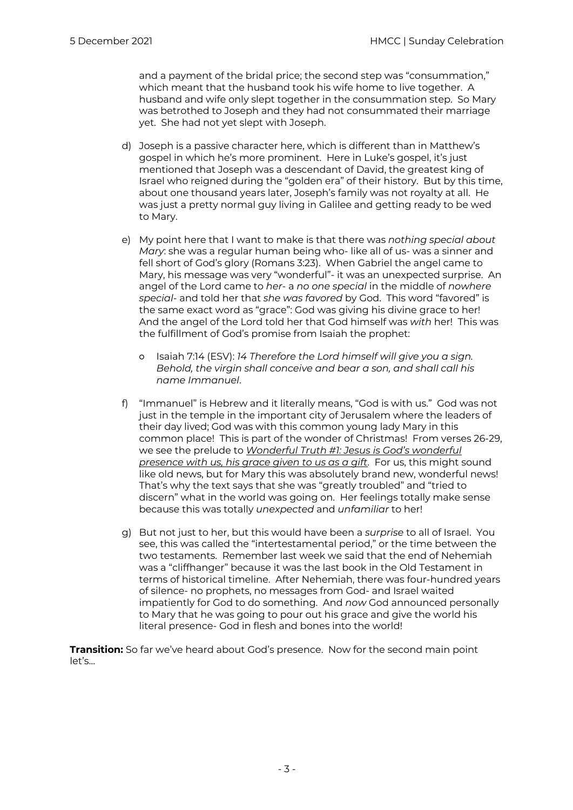and a payment of the bridal price; the second step was "consummation," which meant that the husband took his wife home to live together. A husband and wife only slept together in the consummation step. So Mary was betrothed to Joseph and they had not consummated their marriage yet. She had not yet slept with Joseph.

- d) Joseph is a passive character here, which is different than in Matthew's gospel in which he's more prominent. Here in Luke's gospel, it's just mentioned that Joseph was a descendant of David, the greatest king of Israel who reigned during the "golden era" of their history. But by this time, about one thousand years later, Joseph's family was not royalty at all. He was just a pretty normal guy living in Galilee and getting ready to be wed to Mary.
- e) My point here that I want to make is that there was *nothing special about Mary*: she was a regular human being who- like all of us- was a sinner and fell short of God's glory (Romans 3:23). When Gabriel the angel came to Mary, his message was very "wonderful"- it was an unexpected surprise. An angel of the Lord came to *her*- a *no one special* in the middle of *nowhere special*- and told her that *she was favored* by God. This word "favored" is the same exact word as "grace": God was giving his divine grace to her! And the angel of the Lord told her that God himself was *with* her! This was the fulfillment of God's promise from Isaiah the prophet:
	- Isaiah 7:14 (ESV): *14 Therefore the Lord himself will give you a sign. Behold, the virgin shall conceive and bear a son, and shall call his name Immanuel*.
- f) "Immanuel" is Hebrew and it literally means, "God is with us." God was not just in the temple in the important city of Jerusalem where the leaders of their day lived; God was with this common young lady Mary in this common place! This is part of the wonder of Christmas! From verses 26-29, we see the prelude to *Wonderful Truth #1: Jesus is God's wonderful presence with us, his grace given to us as a gift*. For us, this might sound like old news, but for Mary this was absolutely brand new, wonderful news! That's why the text says that she was "greatly troubled" and "tried to discern" what in the world was going on. Her feelings totally make sense because this was totally *unexpected* and *unfamiliar* to her!
- g) But not just to her, but this would have been a *surprise* to all of Israel. You see, this was called the "intertestamental period," or the time between the two testaments. Remember last week we said that the end of Nehemiah was a "cliffhanger" because it was the last book in the Old Testament in terms of historical timeline. After Nehemiah, there was four-hundred years of silence- no prophets, no messages from God- and Israel waited impatiently for God to do something. And *now* God announced personally to Mary that he was going to pour out his grace and give the world his literal presence- God in flesh and bones into the world!

**Transition:** So far we've heard about God's presence. Now for the second main point let's…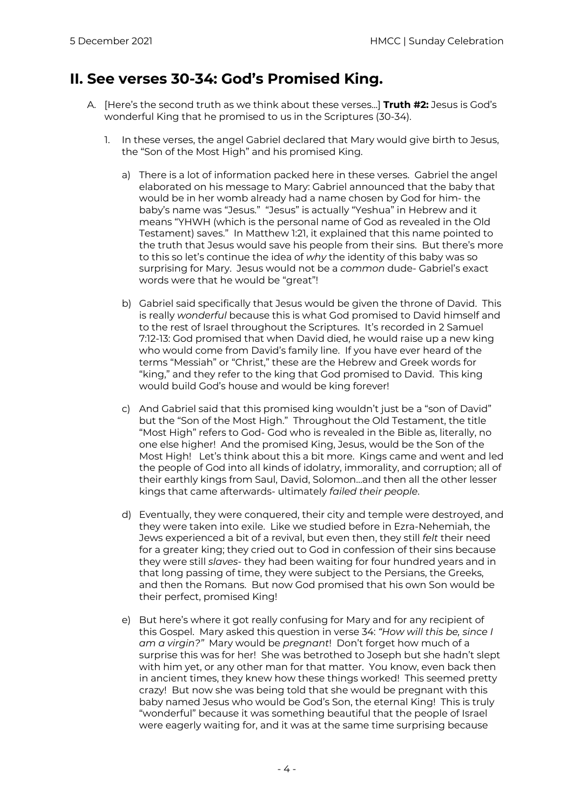#### **II. See verses 30-34: God's Promised King.**

- A. [Here's the second truth as we think about these verses...] **Truth #2:** Jesus is God's wonderful King that he promised to us in the Scriptures (30-34).
	- 1. In these verses, the angel Gabriel declared that Mary would give birth to Jesus, the "Son of the Most High" and his promised King.
		- a) There is a lot of information packed here in these verses. Gabriel the angel elaborated on his message to Mary: Gabriel announced that the baby that would be in her womb already had a name chosen by God for him- the baby's name was "Jesus." "Jesus" is actually "Yeshua" in Hebrew and it means "YHWH (which is the personal name of God as revealed in the Old Testament) saves." In Matthew 1:21, it explained that this name pointed to the truth that Jesus would save his people from their sins. But there's more to this so let's continue the idea of *why* the identity of this baby was so surprising for Mary. Jesus would not be a *common* dude- Gabriel's exact words were that he would be "great"!
		- b) Gabriel said specifically that Jesus would be given the throne of David. This is really *wonderful* because this is what God promised to David himself and to the rest of Israel throughout the Scriptures. It's recorded in 2 Samuel 7:12-13: God promised that when David died, he would raise up a new king who would come from David's family line. If you have ever heard of the terms "Messiah" or "Christ," these are the Hebrew and Greek words for "king," and they refer to the king that God promised to David. This king would build God's house and would be king forever!
		- c) And Gabriel said that this promised king wouldn't just be a "son of David" but the "Son of the Most High." Throughout the Old Testament, the title "Most High" refers to God- God who is revealed in the Bible as, literally, no one else higher! And the promised King, Jesus, would be the Son of the Most High! Let's think about this a bit more. Kings came and went and led the people of God into all kinds of idolatry, immorality, and corruption; all of their earthly kings from Saul, David, Solomon…and then all the other lesser kings that came afterwards- ultimately *failed their people*.
		- d) Eventually, they were conquered, their city and temple were destroyed, and they were taken into exile. Like we studied before in Ezra-Nehemiah, the Jews experienced a bit of a revival, but even then, they still *felt* their need for a greater king; they cried out to God in confession of their sins because they were still *slaves*- they had been waiting for four hundred years and in that long passing of time, they were subject to the Persians, the Greeks, and then the Romans. But now God promised that his own Son would be their perfect, promised King!
		- e) But here's where it got really confusing for Mary and for any recipient of this Gospel. Mary asked this question in verse 34: *"How will this be, since I am a virgin?"* Mary would be *pregnant*! Don't forget how much of a surprise this was for her! She was betrothed to Joseph but she hadn't slept with him yet, or any other man for that matter. You know, even back then in ancient times, they knew how these things worked! This seemed pretty crazy! But now she was being told that she would be pregnant with this baby named Jesus who would be God's Son, the eternal King! This is truly "wonderful" because it was something beautiful that the people of Israel were eagerly waiting for, and it was at the same time surprising because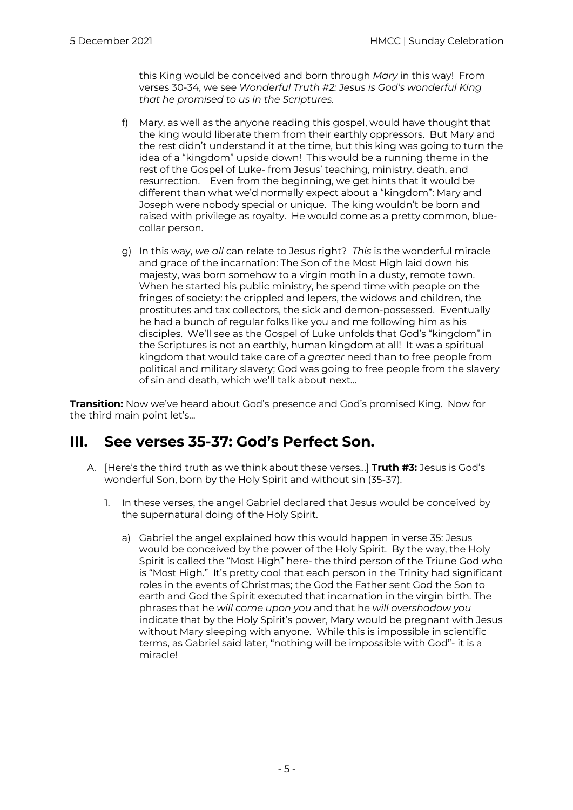this King would be conceived and born through *Mary* in this way! From verses 30-34, we see *Wonderful Truth #2: Jesus is God's wonderful King that he promised to us in the Scriptures.* 

- f) Mary, as well as the anyone reading this gospel, would have thought that the king would liberate them from their earthly oppressors. But Mary and the rest didn't understand it at the time, but this king was going to turn the idea of a "kingdom" upside down! This would be a running theme in the rest of the Gospel of Luke- from Jesus' teaching, ministry, death, and resurrection. Even from the beginning, we get hints that it would be different than what we'd normally expect about a "kingdom": Mary and Joseph were nobody special or unique. The king wouldn't be born and raised with privilege as royalty. He would come as a pretty common, bluecollar person.
- g) In this way, *we all* can relate to Jesus right? *This* is the wonderful miracle and grace of the incarnation: The Son of the Most High laid down his majesty, was born somehow to a virgin moth in a dusty, remote town. When he started his public ministry, he spend time with people on the fringes of society: the crippled and lepers, the widows and children, the prostitutes and tax collectors, the sick and demon-possessed. Eventually he had a bunch of regular folks like you and me following him as his disciples. We'll see as the Gospel of Luke unfolds that God's "kingdom" in the Scriptures is not an earthly, human kingdom at all! It was a spiritual kingdom that would take care of a *greater* need than to free people from political and military slavery; God was going to free people from the slavery of sin and death, which we'll talk about next…

**Transition:** Now we've heard about God's presence and God's promised King. Now for the third main point let's…

#### **III. See verses 35-37: God's Perfect Son.**

- A. [Here's the third truth as we think about these verses...] **Truth #3:** Jesus is God's wonderful Son, born by the Holy Spirit and without sin (35-37).
	- 1. In these verses, the angel Gabriel declared that Jesus would be conceived by the supernatural doing of the Holy Spirit.
		- a) Gabriel the angel explained how this would happen in verse 35: Jesus would be conceived by the power of the Holy Spirit. By the way, the Holy Spirit is called the "Most High" here- the third person of the Triune God who is "Most High." It's pretty cool that each person in the Trinity had significant roles in the events of Christmas; the God the Father sent God the Son to earth and God the Spirit executed that incarnation in the virgin birth. The phrases that he *will come upon you* and that he *will overshadow you* indicate that by the Holy Spirit's power, Mary would be pregnant with Jesus without Mary sleeping with anyone. While this is impossible in scientific terms, as Gabriel said later, "nothing will be impossible with God"- it is a miracle!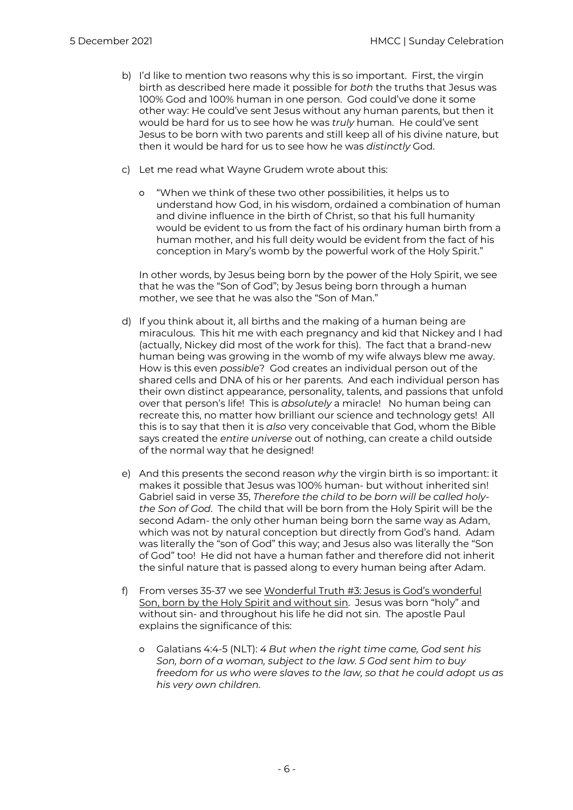- b) I'd like to mention two reasons why this is so important. First, the virgin birth as described here made it possible for *both* the truths that Jesus was 100% God and 100% human in one person. God could've done it some other way: He could've sent Jesus without any human parents, but then it would be hard for us to see how he was *truly* human. He could've sent Jesus to be born with two parents and still keep all of his divine nature, but then it would be hard for us to see how he was *distinctly* God.
- c) Let me read what Wayne Grudem wrote about this:
	- "When we think of these two other possibilities, it helps us to understand how God, in his wisdom, ordained a combination of human and divine influence in the birth of Christ, so that his full humanity would be evident to us from the fact of his ordinary human birth from a human mother, and his full deity would be evident from the fact of his conception in Mary's womb by the powerful work of the Holy Spirit."

In other words, by Jesus being born by the power of the Holy Spirit, we see that he was the "Son of God"; by Jesus being born through a human mother, we see that he was also the "Son of Man."

- d) If you think about it, all births and the making of a human being are miraculous. This hit me with each pregnancy and kid that Nickey and I had (actually, Nickey did most of the work for this). The fact that a brand-new human being was growing in the womb of my wife always blew me away. How is this even *possible*? God creates an individual person out of the shared cells and DNA of his or her parents. And each individual person has their own distinct appearance, personality, talents, and passions that unfold over that person's life! This is *absolutely* a miracle! No human being can recreate this, no matter how brilliant our science and technology gets! All this is to say that then it is *also* very conceivable that God, whom the Bible says created the *entire universe* out of nothing, can create a child outside of the normal way that he designed!
- e) And this presents the second reason *why* the virgin birth is so important: it makes it possible that Jesus was 100% human- but without inherited sin! Gabriel said in verse 35, *Therefore the child to be born will be called holythe Son of God*. The child that will be born from the Holy Spirit will be the second Adam- the only other human being born the same way as Adam, which was not by natural conception but directly from God's hand. Adam was literally the "son of God" this way; and Jesus also was literally the "Son of God" too! He did not have a human father and therefore did not inherit the sinful nature that is passed along to every human being after Adam.
- f) From verses 35-37 we see Wonderful Truth #3: Jesus is God's wonderful Son, born by the Holy Spirit and without sin. Jesus was born "holy" and without sin- and throughout his life he did not sin. The apostle Paul explains the significance of this:
	- Galatians 4:4-5 (NLT): *4 But when the right time came, God sent his Son, born of a woman, subject to the law. 5 God sent him to buy freedom for us who were slaves to the law, so that he could adopt us as his very own children.*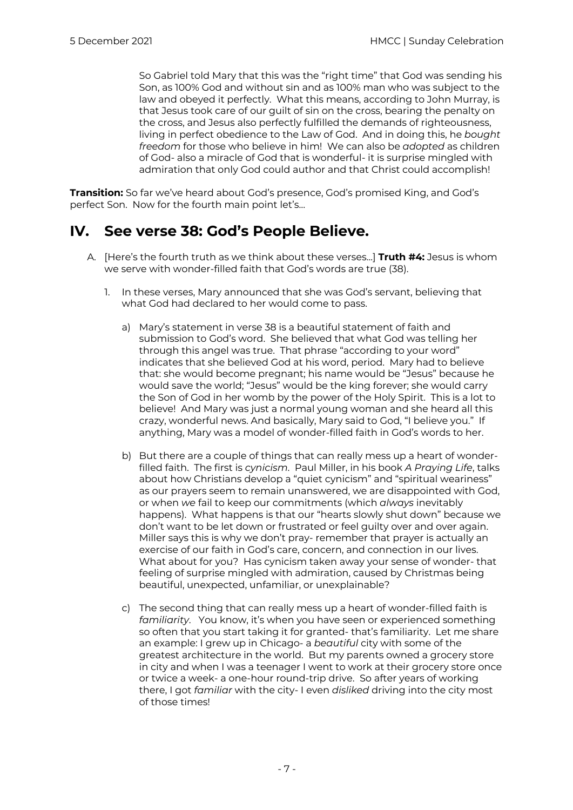So Gabriel told Mary that this was the "right time" that God was sending his Son, as 100% God and without sin and as 100% man who was subject to the law and obeyed it perfectly. What this means, according to John Murray, is that Jesus took care of our guilt of sin on the cross, bearing the penalty on the cross, and Jesus also perfectly fulfilled the demands of righteousness, living in perfect obedience to the Law of God. And in doing this, he *bought freedom* for those who believe in him! We can also be *adopted* as children of God- also a miracle of God that is wonderful- it is surprise mingled with admiration that only God could author and that Christ could accomplish!

**Transition:** So far we've heard about God's presence, God's promised King, and God's perfect Son. Now for the fourth main point let's…

#### **IV. See verse 38: God's People Believe.**

- A. [Here's the fourth truth as we think about these verses...] **Truth #4:** Jesus is whom we serve with wonder-filled faith that God's words are true (38).
	- 1. In these verses, Mary announced that she was God's servant, believing that what God had declared to her would come to pass.
		- a) Mary's statement in verse 38 is a beautiful statement of faith and submission to God's word. She believed that what God was telling her through this angel was true. That phrase "according to your word" indicates that she believed God at his word, period. Mary had to believe that: she would become pregnant; his name would be "Jesus" because he would save the world; "Jesus" would be the king forever; she would carry the Son of God in her womb by the power of the Holy Spirit. This is a lot to believe! And Mary was just a normal young woman and she heard all this crazy, wonderful news. And basically, Mary said to God, "I believe you." If anything, Mary was a model of wonder-filled faith in God's words to her.
		- b) But there are a couple of things that can really mess up a heart of wonderfilled faith. The first is *cynicism*. Paul Miller, in his book *A Praying Life*, talks about how Christians develop a "quiet cynicism" and "spiritual weariness" as our prayers seem to remain unanswered, we are disappointed with God, or when *we* fail to keep our commitments (which *always* inevitably happens). What happens is that our "hearts slowly shut down" because we don't want to be let down or frustrated or feel guilty over and over again. Miller says this is why we don't pray- remember that prayer is actually an exercise of our faith in God's care, concern, and connection in our lives. What about for you? Has cynicism taken away your sense of wonder- that feeling of surprise mingled with admiration, caused by Christmas being beautiful, unexpected, unfamiliar, or unexplainable?
		- c) The second thing that can really mess up a heart of wonder-filled faith is *familiarity*. You know, it's when you have seen or experienced something so often that you start taking it for granted- that's familiarity. Let me share an example: I grew up in Chicago- a *beautiful* city with some of the greatest architecture in the world. But my parents owned a grocery store in city and when I was a teenager I went to work at their grocery store once or twice a week- a one-hour round-trip drive. So after years of working there, I got *familiar* with the city- I even *disliked* driving into the city most of those times!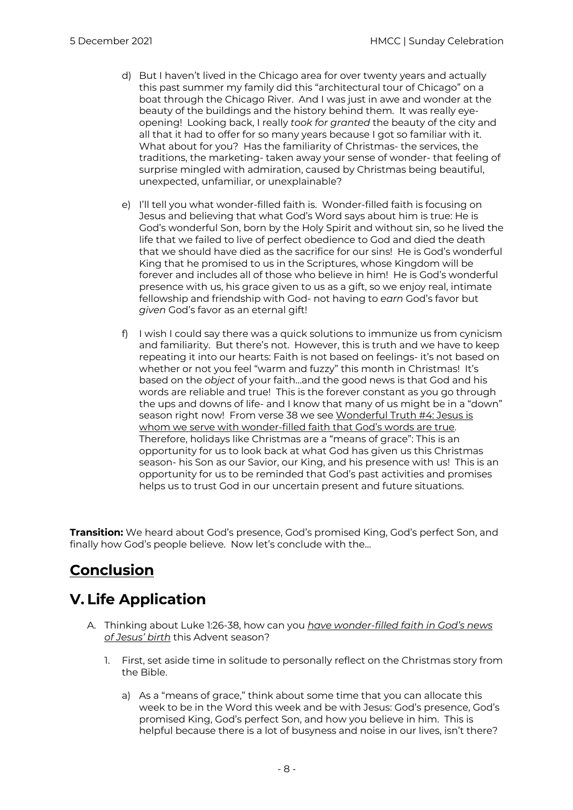- d) But I haven't lived in the Chicago area for over twenty years and actually this past summer my family did this "architectural tour of Chicago" on a boat through the Chicago River. And I was just in awe and wonder at the beauty of the buildings and the history behind them. It was really eyeopening! Looking back, I really *took for granted* the beauty of the city and all that it had to offer for so many years because I got so familiar with it. What about for you? Has the familiarity of Christmas- the services, the traditions, the marketing- taken away your sense of wonder- that feeling of surprise mingled with admiration, caused by Christmas being beautiful, unexpected, unfamiliar, or unexplainable?
- e) I'll tell you what wonder-filled faith is. Wonder-filled faith is focusing on Jesus and believing that what God's Word says about him is true: He is God's wonderful Son, born by the Holy Spirit and without sin, so he lived the life that we failed to live of perfect obedience to God and died the death that we should have died as the sacrifice for our sins! He is God's wonderful King that he promised to us in the Scriptures, whose Kingdom will be forever and includes all of those who believe in him! He is God's wonderful presence with us, his grace given to us as a gift, so we enjoy real, intimate fellowship and friendship with God- not having to *earn* God's favor but *given* God's favor as an eternal gift!
- f) I wish I could say there was a quick solutions to immunize us from cynicism and familiarity. But there's not. However, this is truth and we have to keep repeating it into our hearts: Faith is not based on feelings- it's not based on whether or not you feel "warm and fuzzy" this month in Christmas! It's based on the *object* of your faith…and the good news is that God and his words are reliable and true! This is the forever constant as you go through the ups and downs of life- and I know that many of us might be in a "down" season right now! From verse 38 we see Wonderful Truth #4: Jesus is whom we serve with wonder-filled faith that God's words are true. Therefore, holidays like Christmas are a "means of grace": This is an opportunity for us to look back at what God has given us this Christmas season- his Son as our Savior, our King, and his presence with us! This is an opportunity for us to be reminded that God's past activities and promises helps us to trust God in our uncertain present and future situations.

**Transition:** We heard about God's presence, God's promised King, God's perfect Son, and finally how God's people believe. Now let's conclude with the…

# **Conclusion**

## **V. Life Application**

- A. Thinking about Luke 1:26-38, how can you *have wonder-filled faith in God's news of Jesus' birth* this Advent season?
	- 1. First, set aside time in solitude to personally reflect on the Christmas story from the Bible.
		- a) As a "means of grace," think about some time that you can allocate this week to be in the Word this week and be with Jesus: God's presence, God's promised King, God's perfect Son, and how you believe in him. This is helpful because there is a lot of busyness and noise in our lives, isn't there?